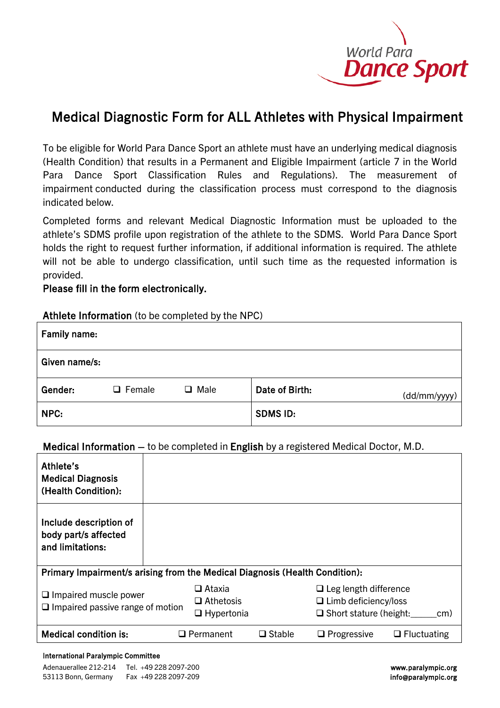

# Medical Diagnostic Form for ALL Athletes with Physical Impairment

To be eligible for World Para Dance Sport an athlete must have an underlying medical diagnosis (Health Condition) that results in a Permanent and Eligible Impairment (article 7 in the World Para Dance Sport Classification Rules and Regulations). The measurement of impairment conducted during the classification process must correspond to the diagnosis indicated below.

Completed forms and relevant Medical Diagnostic Information must be uploaded to the athlete's SDMS profile upon registration of the athlete to the SDMS. World Para Dance Sport holds the right to request further information, if additional information is required. The athlete will not be able to undergo classification, until such time as the requested information is provided.

## Please fill in the form electronically.

### Athlete Information (to be completed by the NPC)

| Family name:  |               |             |                 |              |
|---------------|---------------|-------------|-----------------|--------------|
| Given name/s: |               |             |                 |              |
| Gender:       | $\Box$ Female | $\Box$ Male | Date of Birth:  | (dd/mm/yyyy) |
| NPC:          |               |             | <b>SDMS ID:</b> |              |

### Medical Information – to be completed in English by a registered Medical Doctor, M.D.

| Athlete's<br><b>Medical Diagnosis</b><br>(Health Condition):                |                                                   |               |                                                                                                     |  |  |  |  |
|-----------------------------------------------------------------------------|---------------------------------------------------|---------------|-----------------------------------------------------------------------------------------------------|--|--|--|--|
| Include description of<br>body part/s affected<br>and limitations:          |                                                   |               |                                                                                                     |  |  |  |  |
| Primary Impairment/s arising from the Medical Diagnosis (Health Condition): |                                                   |               |                                                                                                     |  |  |  |  |
| $\Box$ Impaired muscle power<br>$\Box$ Impaired passive range of motion     | □ Ataxia<br>$\Box$ Athetosis<br>$\Box$ Hypertonia |               | $\Box$ Leg length difference<br>$\Box$ Limb deficiency/loss<br>$\Box$ Short stature (height:<br>cm) |  |  |  |  |
| <b>Medical condition is:</b>                                                | $\Box$ Permanent                                  | $\Box$ Stable | $\Box$ Progressive<br>$\Box$ Fluctuating                                                            |  |  |  |  |

#### International Paralympic Committee